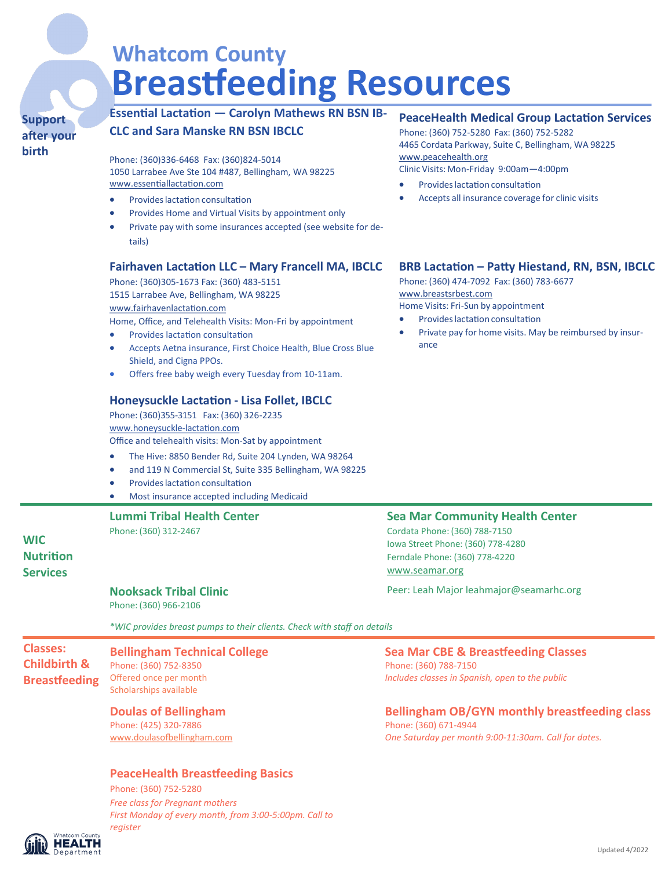# **Whatcom County Breastfeeding Resources**

#### **Support after your birth**

### **Essential Lactation — Carolyn Mathews RN BSN IB-**

**CLC and Sara Manske RN BSN IBCLC** 

Phone: (360)336-6468 Fax: (360)824-5014 1050 Larrabee Ave Ste 104 #487, Bellingham, WA 98225 [www.e](http://www.centerforhealthymotherhood.com/)ssentiallactation.com

- Provides lactation consultation
- Provides Home and Virtual Visits by appointment only
- Private pay with some insurances accepted (see website for details)

#### **Fairhaven Lactation LLC – Mary Francell MA, IBCLC**

Phone: (360)305-1673 Fax: (360) 483-5151 1515 Larrabee Ave, Bellingham, WA 98225 www.fairhavenlactation.com

Home, Office, and Telehealth Visits: Mon-Fri by appointment

- Provides lactation consultation
- Accepts Aetna insurance, First Choice Health, Blue Cross Blue Shield, and Cigna PPOs.
- Offers free baby weigh every Tuesday from 10-11am.

#### **Honeysuckle Lactation - Lisa Follet, IBCLC**

Phone: (360)355-3151 Fax: (360) 326-2235 [www.ho](https://www.rumina-lactation.com/)neysuckle-lactation.com Office and telehealth visits: Mon-Sat by appointment

- The Hive: 8850 Bender Rd, Suite 204 Lynden, WA 98264
- and 119 N Commercial St, Suite 335 Bellingham, WA 98225
- Provides lactation consultation
- Most insurance accepted including Medicaid

### **Lummi Tribal Health Center**

Phone: (360) 312-2467

#### **WIC Nutrition Services**

#### **Nooksack Tribal Clinic**

Phone: (360) 966-2106

*\*WIC provides breast pumps to their clients. Check with staff on details*

#### **Classes: Childbirth & Breastfeeding Bellingham Technical College** Phone: (360) 752-8350 Offered once per month Scholarships available

#### **Doulas of Bellingham**

Phone: (425) 320-7886 [www.doulasofbellingham.com](http://www.doulasofbellingham.com)

#### **PeaceHealth Breastfeeding Basics**

Phone: (360) 752-5280 *Free class for Pregnant mothers First Monday of every month, from 3:00-5:00pm. Call to register*

#### **HEALTH** Department

#### **PeaceHealth Medical Group Lactation Services**

Phone: (360) 752-5280 Fax: (360) 752-5282 4465 Cordata Parkway, Suite C, Bellingham, WA 98225 [www.peacehealth.org](http://www.peacehealth.org/) Clinic Visits: Mon-Friday 9:00am—4:00pm

- Provides lactation consultation
- Accepts all insurance coverage for clinic visits

#### **BRB Lactation – Patty Hiestand, RN, BSN, IBCLC**

Phone: (360) 474-7092 Fax: (360) 783-6677 [www.breastsrbest.com](http://www.breastsrbest.com/) Home Visits: Fri-Sun by appointment

• Provideslactation consultation

Private pay for home visits. May be reimbursed by insurance

#### **Sea Mar Community Health Center**

Cordata Phone: (360) 788-7150 Iowa Street Phone: (360) 778-4280 Ferndale Phone: (360) 778-4220 www.seamar.org

Peer: Leah Major leahmajor@seamarhc.org

#### **Sea Mar CBE & Breastfeeding Classes**

Phone: (360) 788-7150 *Includes classes in Spanish, open to the public*

#### **Bellingham OB/GYN monthly breastfeeding class**

Phone: (360) 671-4944 *One Saturday per month 9:00-11:30am. Call for dates.*